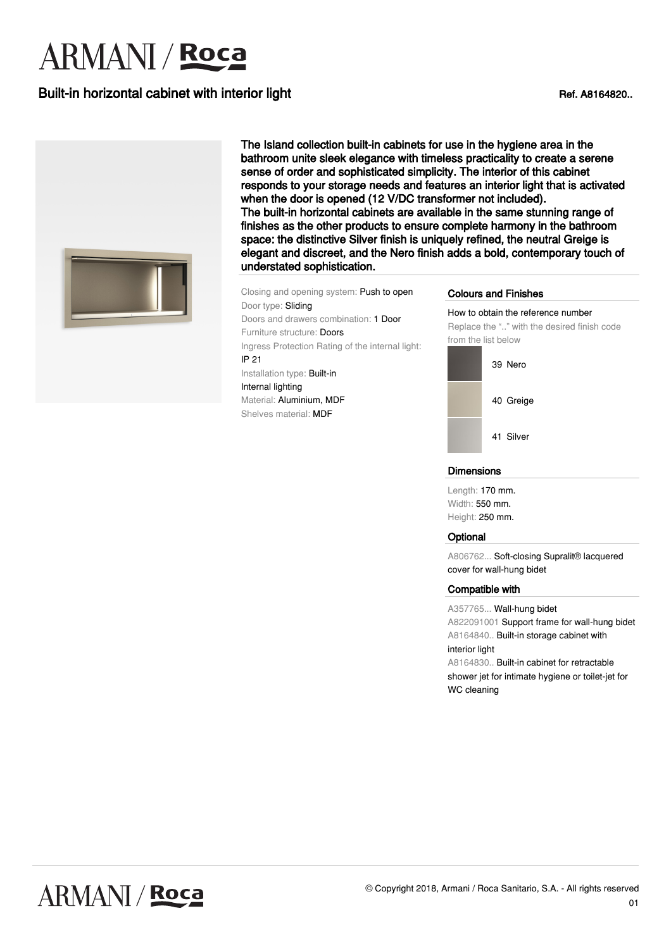# **ARMANI** / **Roca**

## Built-in horizontal cabinet with interior light Ref. A8164820..



The Island collection built-in cabinets for use in the hygiene area in the bathroom unite sleek elegance with timeless practicality to create a serene sense of order and sophisticated simplicity. The interior of this cabinet responds to your storage needs and features an interior light that is activated when the door is opened (12 V/DC transformer not included). The built-in horizontal cabinets are available in the same stunning range of finishes as the other products to ensure complete harmony in the bathroom space: the distinctive Silver finish is uniquely refined, the neutral Greige is elegant and discreet, and the Nero finish adds a bold, contemporary touch of understated sophistication.

Closing and opening system: Push to open Door type: Sliding Doors and drawers combination: 1 Door Furniture structure: Doors Ingress Protection Rating of the internal light: IP 21 Installation type: Built-in Internal lighting Material: Aluminium, MDF Shelves material: MDF

#### Colours and Finishes

How to obtain the reference number Replace the ".." with the desired finish code from the list below



#### **Dimensions**

Length: 170 mm. Width: 550 mm. Height: 250 mm.

#### **Optional**

A806762... Soft-closing Supralit® lacquered cover for wall-hung bidet

#### Compatible with

A357765... Wall-hung bidet A822091001 Support frame for wall-hung bidet A8164840.. Built-in storage cabinet with interior light A8164830.. Built-in cabinet for retractable

shower jet for intimate hygiene or toilet-jet for WC cleaning

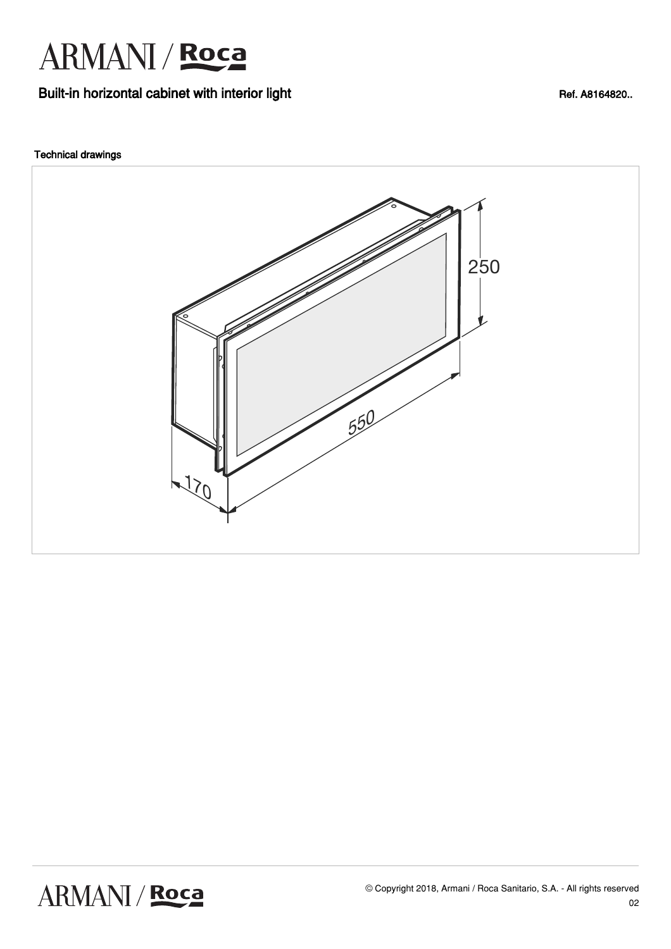

### Built-in horizontal cabinet with interior light Ref. A8164820..

### Technical drawings



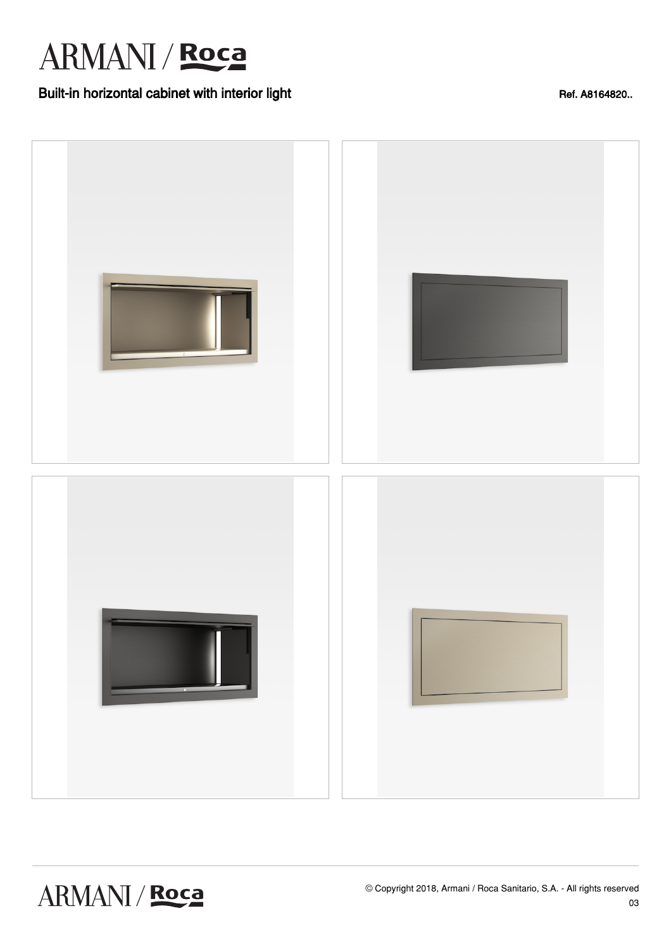## ARMANI / Roca

## Built-in horizontal cabinet with interior light Ref. A8164820..